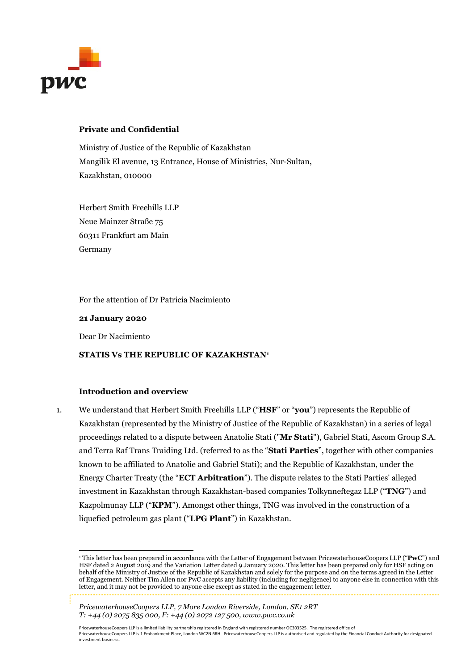

### Private and Confidential

Ministry of Justice of the Republic of Kazakhstan Mangilik El avenue, 13 Entrance, House of Ministries, Nur-Sultan, Kazakhstan, 010000

Herbert Smith Freehills LLP Neue Mainzer Straße 75 60311 Frankfurt am Main Germany

For the attention of Dr Patricia Nacimiento

#### 21 January 2020

Dear Dr Nacimiento

### STATIS Vs THE REPUBLIC OF KAZAKHSTAN<sup>1</sup>

#### Introduction and overview

1. We understand that Herbert Smith Freehills LLP ("HSF" or "you") represents the Republic of Kazakhstan (represented by the Ministry of Justice of the Republic of Kazakhstan) in a series of legal proceedings related to a dispute between Anatolie Stati ("Mr Stati"), Gabriel Stati, Ascom Group S.A. and Terra Raf Trans Traiding Ltd. (referred to as the "Stati Parties", together with other companies known to be affiliated to Anatolie and Gabriel Stati); and the Republic of Kazakhstan, under the Energy Charter Treaty (the "ECT Arbitration"). The dispute relates to the Stati Parties' alleged investment in Kazakhstan through Kazakhstan-based companies Tolkynneftegaz LLP ("TNG") and Kazpolmunay LLP ("KPM"). Amongst other things, TNG was involved in the construction of a liquefied petroleum gas plant ("LPG Plant") in Kazakhstan.

This letter has been prepared in accordance with the Letter of Engagement between PricewaterhouseCoopers LLP ("PwC") and HSF dated 2 August 2019 and the Variation Letter dated 9 January 2020. This letter has been prepared only for HSF acting on behalf of the Ministry of Justice of the Republic of Kazakhstan and solely for the purpose and on the terms agreed in the Letter of Engagement. Neither Tim Allen nor PwC accepts any liability (including for negligence) to anyone else in connection with this letter, and it may not be provided to anyone else except as stated in the engagement letter.

PricewaterhouseCoopers LLP, 7 More London Riverside, London, SE1 2RT  $T: +44(0)$  2075 835 000,  $F: +44(0)$  2072 127 500, www.pwc.co.uk

PricewaterhouseCoopers LLP is a limited liability partnership registered in England with registered number OC303525. The registered office of PricewaterhouseCoopers LLP is 1 Embankment Place, London WC2N 6RH. PricewaterhouseCoopers LLP is authorised and regulated by the Financial Conduct Authority for designated investment business.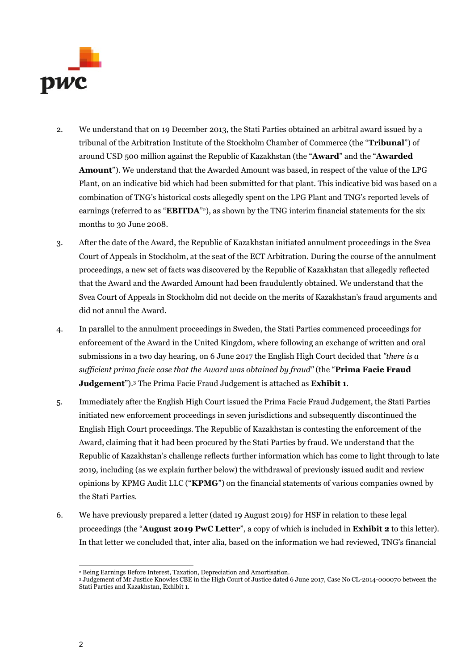

- 2. We understand that on 19 December 2013, the Stati Parties obtained an arbitral award issued by a tribunal of the Arbitration Institute of the Stockholm Chamber of Commerce (the "Tribunal") of around USD 500 million against the Republic of Kazakhstan (the "**Award"** and the "**Awarded** Amount"). We understand that the Awarded Amount was based, in respect of the value of the LPG Plant, on an indicative bid which had been submitted for that plant. This indicative bid was based on a combination of TNG's historical costs allegedly spent on the LPG Plant and TNG's reported levels of earnings (referred to as " $EBITDA"$ <sup>2</sup>), as shown by the TNG interim financial statements for the six months to 30 June 2008.
- 3. After the date of the Award, the Republic of Kazakhstan initiated annulment proceedings in the Svea Court of Appeals in Stockholm, at the seat of the ECT Arbitration. During the course of the annulment proceedings, a new set of facts was discovered by the Republic of Kazakhstan that allegedly reflected that the Award and the Awarded Amount had been fraudulently obtained. We understand that the Svea Court of Appeals in Stockholm did not decide on the merits of Kazakhstan's fraud arguments and did not annul the Award.
- 4. In parallel to the annulment proceedings in Sweden, the Stati Parties commenced proceedings for enforcement of the Award in the United Kingdom, where following an exchange of written and oral submissions in a two day hearing, on 6 June 2017 the English High Court decided that "there is  $q$ sufficient prima facie case that the Award was obtained by fraud" (the "Prima Facie Fraud Judgement").<sup>3</sup> The Prima Facie Fraud Judgement is attached as Exhibit 1.
- 5. Immediately after the English High Court issued the Prima Facie Fraud Judgement, the Stati Parties initiated new enforcement proceedings in seven jurisdictions and subsequently discontinued the English High Court proceedings. The Republic of Kazakhstan is contesting the enforcement of the Award, claiming that it had been procured by the Stati Parties by fraud. We understand that the Republic of Kazakhstan's challenge reflects further information which has come to light through to late 2019, including (as we explain further below) the withdrawal of previously issued audit and review opinions by KPMG Audit LLC ("KPMG") on the financial statements of various companies owned by the Stati Parties.
- 6. We have previously prepared a letter (dated 19 August 2019) for HSF in relation to these legal proceedings (the "August 2019 PwC Letter", a copy of which is included in Exhibit 2 to this letter). In that letter we concluded that, inter alia, based on the information we had reviewed, TNG's financial

<sup>-</sup><sup>2</sup> Being Earnings Before Interest, Taxation, Depreciation and Amortisation.

<sup>3</sup> Judgement of Mr Justice Knowles CBE in the High Court of Justice dated 6 June 2017, Case No CL-2014-000070 between the Stati Parties and Kazakhstan, Exhibit 1.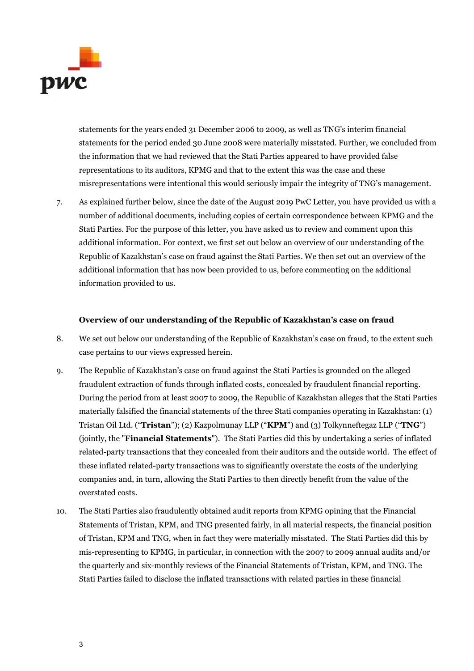

statements for the years ended 31 December 2006 to 2009, as well as TNG's interim financial statements for the period ended 30 June 2008 were materially misstated. Further, we concluded from the information that we had reviewed that the Stati Parties appeared to have provided false representations to its auditors, KPMG and that to the extent this was the case and these misrepresentations were intentional this would seriously impair the integrity of TNG's management.

7. As explained further below, since the date of the August 2019 PwC Letter, you have provided us with a number of additional documents, including copies of certain correspondence between KPMG and the Stati Parties. For the purpose of this letter, you have asked us to review and comment upon this additional information. For context, we first set out below an overview of our understanding of the Republic of Kazakhstan's case on fraud against the Stati Parties. We then set out an overview of the additional information that has now been provided to us, before commenting on the additional information provided to us.

#### Overview of our understanding of the Republic of Kazakhstan's case on fraud

- 8. We set out below our understanding of the Republic of Kazakhstan's case on fraud, to the extent such case pertains to our views expressed herein.
- 9. The Republic of Kazakhstan's case on fraud against the Stati Parties is grounded on the alleged fraudulent extraction of funds through inflated costs, concealed by fraudulent financial reporting. During the period from at least 2007 to 2009, the Republic of Kazakhstan alleges that the Stati Parties materially falsified the financial statements of the three Stati companies operating in Kazakhstan: (1) Tristan Oil Ltd. ("Tristan"); (2) Kazpolmunay LLP ("KPM") and (3) Tolkynneftegaz LLP ("TNG") (jointly, the "Financial Statements"). The Stati Parties did this by undertaking a series of inflated related-party transactions that they concealed from their auditors and the outside world. The effect of these inflated related-party transactions was to significantly overstate the costs of the underlying companies and, in turn, allowing the Stati Parties to then directly benefit from the value of the overstated costs.
- 10. The Stati Parties also fraudulently obtained audit reports from KPMG opining that the Financial Statements of Tristan, KPM, and TNG presented fairly, in all material respects, the financial position of Tristan, KPM and TNG, when in fact they were materially misstated. The Stati Parties did this by mis-representing to KPMG, in particular, in connection with the 2007 to 2009 annual audits and/or the quarterly and six-monthly reviews of the Financial Statements of Tristan, KPM, and TNG. The Stati Parties failed to disclose the inflated transactions with related parties in these financial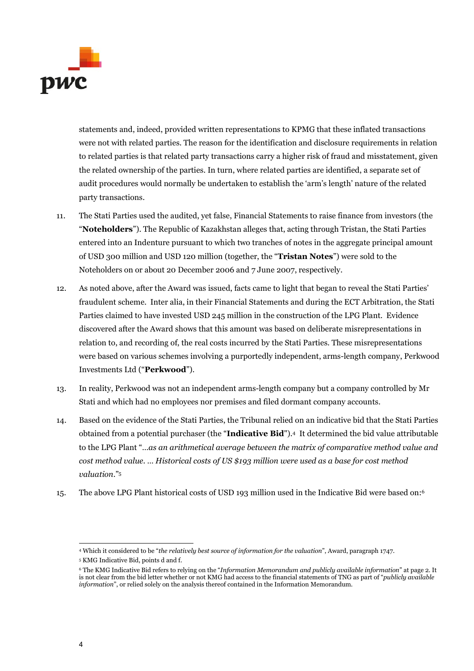

statements and, indeed, provided written representations to KPMG that these inflated transactions were not with related parties. The reason for the identification and disclosure requirements in relation to related parties is that related party transactions carry a higher risk of fraud and misstatement, given the related ownership of the parties. In turn, where related parties are identified, a separate set of audit procedures would normally be undertaken to establish the 'arm's length' nature of the related party transactions.

- 11. The Stati Parties used the audited, yet false, Financial Statements to raise finance from investors (the "Noteholders"). The Republic of Kazakhstan alleges that, acting through Tristan, the Stati Parties entered into an Indenture pursuant to which two tranches of notes in the aggregate principal amount of USD 300 million and USD 120 million (together, the "Tristan Notes") were sold to the Noteholders on or about 20 December 2006 and 7 June 2007, respectively.
- 12. As noted above, after the Award was issued, facts came to light that began to reveal the Stati Parties' fraudulent scheme. Inter alia, in their Financial Statements and during the ECT Arbitration, the Stati Parties claimed to have invested USD 245 million in the construction of the LPG Plant. Evidence discovered after the Award shows that this amount was based on deliberate misrepresentations in relation to, and recording of, the real costs incurred by the Stati Parties. These misrepresentations were based on various schemes involving a purportedly independent, arms-length company, Perkwood Investments Ltd ("Perkwood").
- 13. In reality, Perkwood was not an independent arms-length company but a company controlled by Mr Stati and which had no employees nor premises and filed dormant company accounts.
- 14. Based on the evidence of the Stati Parties, the Tribunal relied on an indicative bid that the Stati Parties obtained from a potential purchaser (the "Indicative Bid").4 It determined the bid value attributable to the LPG Plant "…as an arithmetical average between the matrix of comparative method value and cost method value. … Historical costs of US \$193 million were used as a base for cost method valuation."<sup>5</sup>
- 15. The above LPG Plant historical costs of USD 193 million used in the Indicative Bid were based on:<sup>6</sup>

 $\overline{a}$ <sup>4</sup> Which it considered to be "the relatively best source of information for the valuation", Award, paragraph 1747.

<sup>5</sup> KMG Indicative Bid, points d and f.

<sup>&</sup>lt;sup>6</sup> The KMG Indicative Bid refers to relying on the "Information Memorandum and publicly available information" at page 2. It is not clear from the bid letter whether or not KMG had access to the financial statements of TNG as part of "publicly available information", or relied solely on the analysis thereof contained in the Information Memorandum.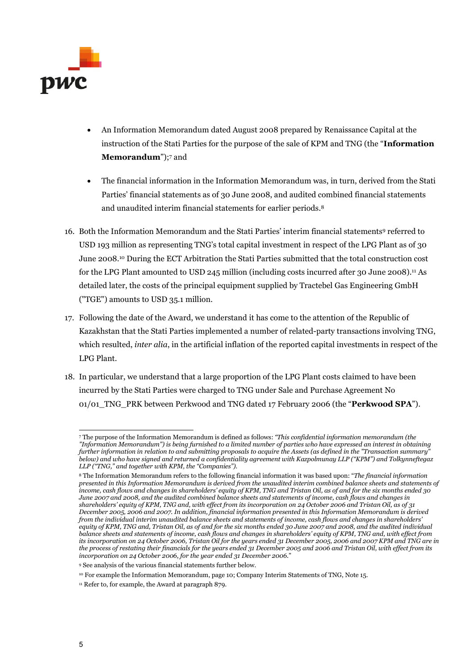

- An Information Memorandum dated August 2008 prepared by Renaissance Capital at the instruction of the Stati Parties for the purpose of the sale of KPM and TNG (the "Information **Memorandum**");7 and
- The financial information in the Information Memorandum was, in turn, derived from the Stati Parties' financial statements as of 30 June 2008, and audited combined financial statements and unaudited interim financial statements for earlier periods.<sup>8</sup>
- 16. Both the Information Memorandum and the Stati Parties' interim financial statements9 referred to USD 193 million as representing TNG's total capital investment in respect of the LPG Plant as of 30 June 2008.10 During the ECT Arbitration the Stati Parties submitted that the total construction cost for the LPG Plant amounted to USD 245 million (including costs incurred after 30 June 2008).<sup>11</sup> As detailed later, the costs of the principal equipment supplied by Tractebel Gas Engineering GmbH ("TGE") amounts to USD 35.1 million.
- 17. Following the date of the Award, we understand it has come to the attention of the Republic of Kazakhstan that the Stati Parties implemented a number of related-party transactions involving TNG, which resulted, *inter alia*, in the artificial inflation of the reported capital investments in respect of the LPG Plant.
- 18. In particular, we understand that a large proportion of the LPG Plant costs claimed to have been incurred by the Stati Parties were charged to TNG under Sale and Purchase Agreement No 01/01\_TNG\_PRK between Perkwood and TNG dated 17 February 2006 (the "Perkwood SPA").

<sup>-</sup>7 The purpose of the Information Memorandum is defined as follows: "This confidential information memorandum (the "Information Memorandum") is being furnished to a limited number of parties who have expressed an interest in obtaining further information in relation to and submitting proposals to acquire the Assets (as defined in the "Transaction summary" below) and who have signed and returned a confidentiality agreement with Kazpolmunay LLP ("KPM") and Tolkynneftegaz LLP ("TNG," and together with KPM, the "Companies").

<sup>&</sup>lt;sup>8</sup> The Information Memorandum refers to the following financial information it was based upon: "The financial information presented in this Information Memorandum is derived from the unaudited interim combined balance sheets and statements of income, cash flows and changes in shareholders' equity of KPM, TNG and Tristan Oil, as of and for the six months ended 30 June 2007 and 2008, and the audited combined balance sheets and statements of income, cash flows and changes in shareholders' equity of KPM, TNG and, with effect from its incorporation on 24 October 2006 and Tristan Oil, as of 31 December 2005, 2006 and 2007. In addition, financial information presented in this Information Memorandum is derived from the individual interim unaudited balance sheets and statements of income, cash flows and changes in shareholders' equity of KPM, TNG and, Tristan Oil, as of and for the six months ended 30 June 2007 and 2008, and the audited individual balance sheets and statements of income, cash flows and changes in shareholders' equity of KPM, TNG and, with effect from its incorporation on 24 October 2006, Tristan Oil for the years ended 31 December 2005, 2006 and 2007 KPM and TNG are in the process of restating their financials for the years ended 31 December 2005 and 2006 and Tristan Oil, with effect from its incorporation on 24 October 2006, for the year ended 31 December 2006."

<sup>9</sup> See analysis of the various financial statements further below.

<sup>10</sup> For example the Information Memorandum, page 10; Company Interim Statements of TNG, Note 15.

<sup>&</sup>lt;sup>11</sup> Refer to, for example, the Award at paragraph 879.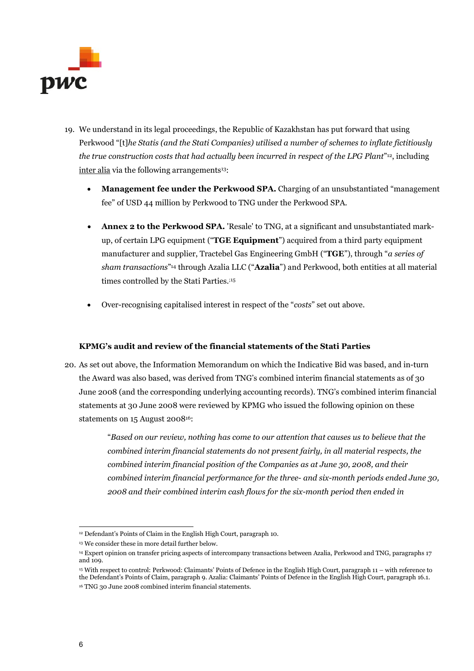

- 19. We understand in its legal proceedings, the Republic of Kazakhstan has put forward that using Perkwood "[t]he Statis (and the Stati Companies) utilised a number of schemes to inflate fictitiously the true construction costs that had actually been incurred in respect of the LPG Plant" $n^2$ , including inter alia via the following arrangements<sup>13</sup>:
	- Management fee under the Perkwood SPA. Charging of an unsubstantiated "management fee" of USD 44 million by Perkwood to TNG under the Perkwood SPA.
	- Annex 2 to the Perkwood SPA. 'Resale' to TNG, at a significant and unsubstantiated markup, of certain LPG equipment ("TGE Equipment") acquired from a third party equipment manufacturer and supplier, Tractebel Gas Engineering GmbH ("TGE"), through "a series of sham transactions"<sup>14</sup> through Azalia LLC ("**Azalia**") and Perkwood, both entities at all material times controlled by the Stati Parties.<sup>;15</sup>
	- Over-recognising capitalised interest in respect of the "costs" set out above.

# KPMG's audit and review of the financial statements of the Stati Parties

20. As set out above, the Information Memorandum on which the Indicative Bid was based, and in-turn the Award was also based, was derived from TNG's combined interim financial statements as of 30 June 2008 (and the corresponding underlying accounting records). TNG's combined interim financial statements at 30 June 2008 were reviewed by KPMG who issued the following opinion on these statements on 15 August 200816:

> "Based on our review, nothing has come to our attention that causes us to believe that the combined interim financial statements do not present fairly, in all material respects, the combined interim financial position of the Companies as at June 30, 2008, and their combined interim financial performance for the three- and six-month periods ended June 30, 2008 and their combined interim cash flows for the six-month period then ended in

<sup>-</sup><sup>12</sup> Defendant's Points of Claim in the English High Court, paragraph 10.

<sup>&</sup>lt;sup>13</sup> We consider these in more detail further below.

<sup>14</sup> Expert opinion on transfer pricing aspects of intercompany transactions between Azalia, Perkwood and TNG, paragraphs 17 and 109.

<sup>15</sup> With respect to control: Perkwood: Claimants' Points of Defence in the English High Court, paragraph 11 – with reference to the Defendant's Points of Claim, paragraph 9. Azalia: Claimants' Points of Defence in the English High Court, paragraph 16.1. 16 TNG 30 June 2008 combined interim financial statements.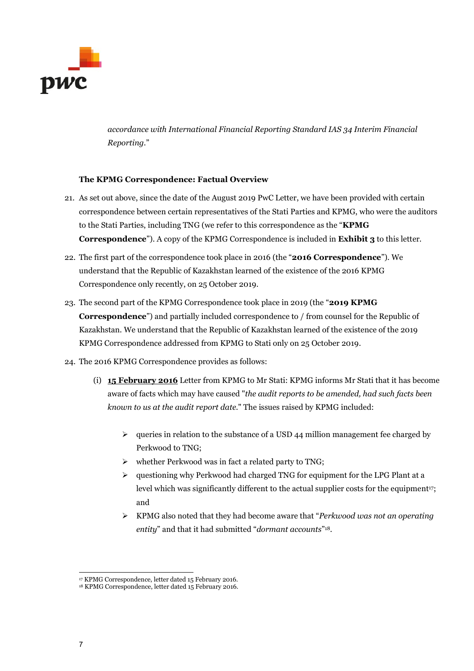

accordance with International Financial Reporting Standard IAS 34 Interim Financial Reporting."

# The KPMG Correspondence: Factual Overview

- 21. As set out above, since the date of the August 2019 PwC Letter, we have been provided with certain correspondence between certain representatives of the Stati Parties and KPMG, who were the auditors to the Stati Parties, including TNG (we refer to this correspondence as the "KPMG Correspondence"). A copy of the KPMG Correspondence is included in Exhibit 3 to this letter.
- 22. The first part of the correspondence took place in 2016 (the "2016 Correspondence"). We understand that the Republic of Kazakhstan learned of the existence of the 2016 KPMG Correspondence only recently, on 25 October 2019.
- 23. The second part of the KPMG Correspondence took place in 2019 (the "2019 KPMG Correspondence") and partially included correspondence to / from counsel for the Republic of Kazakhstan. We understand that the Republic of Kazakhstan learned of the existence of the 2019 KPMG Correspondence addressed from KPMG to Stati only on 25 October 2019.
- 24. The 2016 KPMG Correspondence provides as follows:
	- (i) 15 February 2016 Letter from KPMG to Mr Stati: KPMG informs Mr Stati that it has become aware of facts which may have caused "the audit reports to be amended, had such facts been known to us at the audit report date." The issues raised by KPMG included:
		- $\triangleright$  queries in relation to the substance of a USD 44 million management fee charged by Perkwood to TNG;
		- $\triangleright$  whether Perkwood was in fact a related party to TNG;
		- $\triangleright$  questioning why Perkwood had charged TNG for equipment for the LPG Plant at a level which was significantly different to the actual supplier costs for the equipment<sup>17</sup>; and
		- $\triangleright$  KPMG also noted that they had become aware that "Perkwood was not an operating" entity" and that it had submitted "*dormant accounts*"<sup>18</sup>.

 $\overline{a}$ 

<sup>17</sup> KPMG Correspondence, letter dated 15 February 2016.

<sup>&</sup>lt;sup>18</sup> KPMG Correspondence, letter dated 15 February 2016.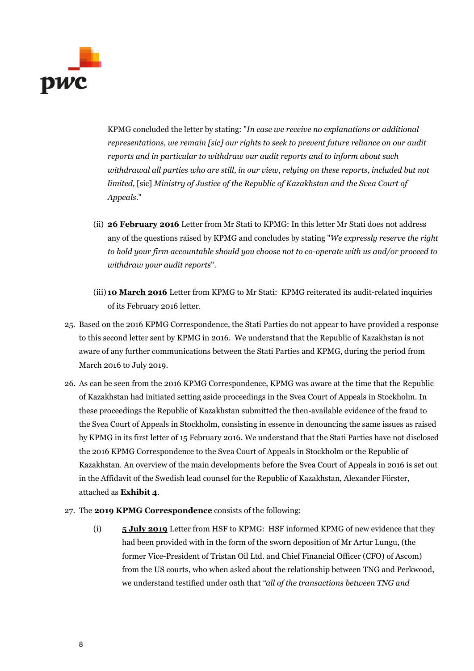

KPMG concluded the letter by stating: "In case we receive no explanations or additional representations, we remain [sic] our rights to seek to prevent future reliance on our audit reports and in particular to withdraw our audit reports and to inform about such withdrawal all parties who are still, in our view, relying on these reports, included but not limited, [sic] Ministry of Justice of the Republic of Kazakhstan and the Svea Court of Appeals."

- (ii) 26 February 2016 Letter from Mr Stati to KPMG: In this letter Mr Stati does not address any of the questions raised by KPMG and concludes by stating "We expressly reserve the right to hold your firm accountable should you choose not to co-operate with us and/or proceed to withdraw your audit reports".
- (iii) 10 March 2016 Letter from KPMG to Mr Stati: KPMG reiterated its audit-related inquiries of its February 2016 letter.
- 25. Based on the 2016 KPMG Correspondence, the Stati Parties do not appear to have provided a response to this second letter sent by KPMG in 2016. We understand that the Republic of Kazakhstan is not aware of any further communications between the Stati Parties and KPMG, during the period from March 2016 to July 2019.
- 26. As can be seen from the 2016 KPMG Correspondence, KPMG was aware at the time that the Republic of Kazakhstan had initiated setting aside proceedings in the Svea Court of Appeals in Stockholm. In these proceedings the Republic of Kazakhstan submitted the then-available evidence of the fraud to the Svea Court of Appeals in Stockholm, consisting in essence in denouncing the same issues as raised by KPMG in its first letter of 15 February 2016. We understand that the Stati Parties have not disclosed the 2016 KPMG Correspondence to the Svea Court of Appeals in Stockholm or the Republic of Kazakhstan. An overview of the main developments before the Svea Court of Appeals in 2016 is set out in the Affidavit of the Swedish lead counsel for the Republic of Kazakhstan, Alexander Förster, attached as Exhibit 4.
- 27. The 2019 KPMG Correspondence consists of the following:
	- (i) 5 July 2019 Letter from HSF to KPMG: HSF informed KPMG of new evidence that they had been provided with in the form of the sworn deposition of Mr Artur Lungu, (the former Vice-President of Tristan Oil Ltd. and Chief Financial Officer (CFO) of Ascom) from the US courts, who when asked about the relationship between TNG and Perkwood, we understand testified under oath that "all of the transactions between TNG and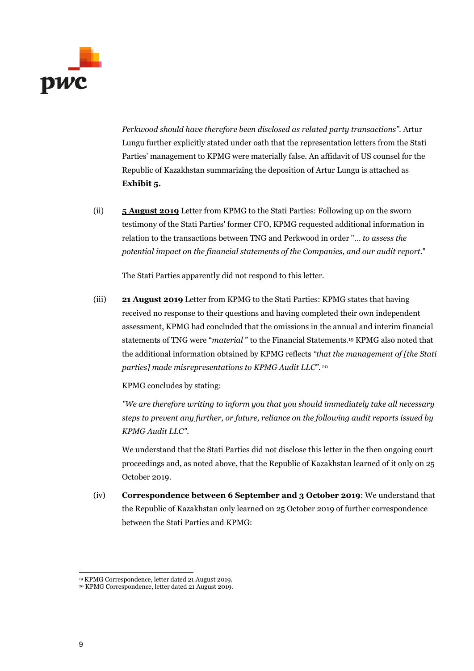

Perkwood should have therefore been disclosed as related party transactions". Artur Lungu further explicitly stated under oath that the representation letters from the Stati Parties' management to KPMG were materially false. An affidavit of US counsel for the Republic of Kazakhstan summarizing the deposition of Artur Lungu is attached as Exhibit 5.

(ii) 5 August 2019 Letter from KPMG to the Stati Parties: Following up on the sworn testimony of the Stati Parties' former CFO, KPMG requested additional information in relation to the transactions between TNG and Perkwood in order "… to assess the potential impact on the financial statements of the Companies, and our audit report."

The Stati Parties apparently did not respond to this letter.

(iii) 21 August 2019 Letter from KPMG to the Stati Parties: KPMG states that having received no response to their questions and having completed their own independent assessment, KPMG had concluded that the omissions in the annual and interim financial statements of TNG were "material " to the Financial Statements.19 KPMG also noted that the additional information obtained by KPMG reflects "that the management of [the Stati parties] made misrepresentations to KPMG Audit LLC". <sup>20</sup>

KPMG concludes by stating:

"We are therefore writing to inform you that you should immediately take all necessary steps to prevent any further, or future, reliance on the following audit reports issued by KPMG Audit LLC".

We understand that the Stati Parties did not disclose this letter in the then ongoing court proceedings and, as noted above, that the Republic of Kazakhstan learned of it only on 25 October 2019.

(iv) Correspondence between 6 September and 3 October 2019: We understand that the Republic of Kazakhstan only learned on 25 October 2019 of further correspondence between the Stati Parties and KPMG:

 $\overline{a}$ 

<sup>19</sup> KPMG Correspondence, letter dated 21 August 2019.

<sup>20</sup> KPMG Correspondence, letter dated 21 August 2019.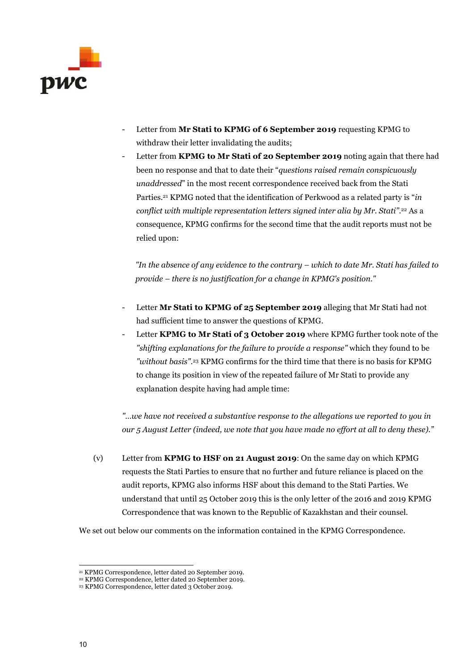

- Letter from Mr Stati to KPMG of 6 September 2019 requesting KPMG to withdraw their letter invalidating the audits;
- Letter from KPMG to Mr Stati of 20 September 2019 noting again that there had been no response and that to date their "questions raised remain conspicuously unaddressed" in the most recent correspondence received back from the Stati Parties.<sup>21</sup> KPMG noted that the identification of Perkwood as a related party is "in conflict with multiple representation letters signed inter alia by Mr. Stati". <sup>22</sup> As a consequence, KPMG confirms for the second time that the audit reports must not be relied upon:

"In the absence of any evidence to the contrary  $-$  which to date Mr. Stati has failed to provide – there is no justification for a change in KPMG's position."

- Letter Mr Stati to KPMG of 25 September 2019 alleging that Mr Stati had not had sufficient time to answer the questions of KPMG.
- Letter KPMG to Mr Stati of 3 October 2019 where KPMG further took note of the "shifting explanations for the failure to provide a response" which they found to be "without basis". <sup>23</sup> KPMG confirms for the third time that there is no basis for KPMG to change its position in view of the repeated failure of Mr Stati to provide any explanation despite having had ample time:

"…we have not received a substantive response to the allegations we reported to you in our 5 August Letter (indeed, we note that you have made no effort at all to deny these)."

(v) Letter from KPMG to HSF on 21 August 2019: On the same day on which KPMG requests the Stati Parties to ensure that no further and future reliance is placed on the audit reports, KPMG also informs HSF about this demand to the Stati Parties. We understand that until 25 October 2019 this is the only letter of the 2016 and 2019 KPMG Correspondence that was known to the Republic of Kazakhstan and their counsel.

We set out below our comments on the information contained in the KPMG Correspondence.

<sup>-</sup><sup>21</sup> KPMG Correspondence, letter dated 20 September 2019.

<sup>22</sup> KPMG Correspondence, letter dated 20 September 2019.

<sup>23</sup> KPMG Correspondence, letter dated 3 October 2019.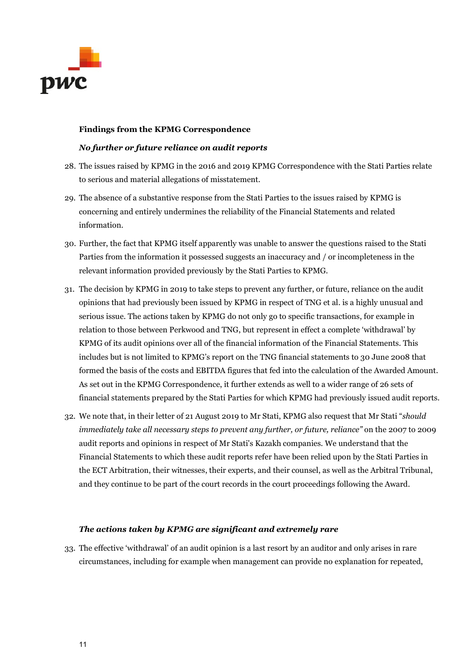

### Findings from the KPMG Correspondence

#### No further or future reliance on audit reports

- 28. The issues raised by KPMG in the 2016 and 2019 KPMG Correspondence with the Stati Parties relate to serious and material allegations of misstatement.
- 29. The absence of a substantive response from the Stati Parties to the issues raised by KPMG is concerning and entirely undermines the reliability of the Financial Statements and related information.
- 30. Further, the fact that KPMG itself apparently was unable to answer the questions raised to the Stati Parties from the information it possessed suggests an inaccuracy and / or incompleteness in the relevant information provided previously by the Stati Parties to KPMG.
- 31. The decision by KPMG in 2019 to take steps to prevent any further, or future, reliance on the audit opinions that had previously been issued by KPMG in respect of TNG et al. is a highly unusual and serious issue. The actions taken by KPMG do not only go to specific transactions, for example in relation to those between Perkwood and TNG, but represent in effect a complete 'withdrawal' by KPMG of its audit opinions over all of the financial information of the Financial Statements. This includes but is not limited to KPMG's report on the TNG financial statements to 30 June 2008 that formed the basis of the costs and EBITDA figures that fed into the calculation of the Awarded Amount. As set out in the KPMG Correspondence, it further extends as well to a wider range of 26 sets of financial statements prepared by the Stati Parties for which KPMG had previously issued audit reports.
- 32. We note that, in their letter of 21 August 2019 to Mr Stati, KPMG also request that Mr Stati "should immediately take all necessary steps to prevent any further, or future, reliance" on the 2007 to 2009 audit reports and opinions in respect of Mr Stati's Kazakh companies. We understand that the Financial Statements to which these audit reports refer have been relied upon by the Stati Parties in the ECT Arbitration, their witnesses, their experts, and their counsel, as well as the Arbitral Tribunal, and they continue to be part of the court records in the court proceedings following the Award.

### The actions taken by KPMG are significant and extremely rare

33. The effective 'withdrawal' of an audit opinion is a last resort by an auditor and only arises in rare circumstances, including for example when management can provide no explanation for repeated,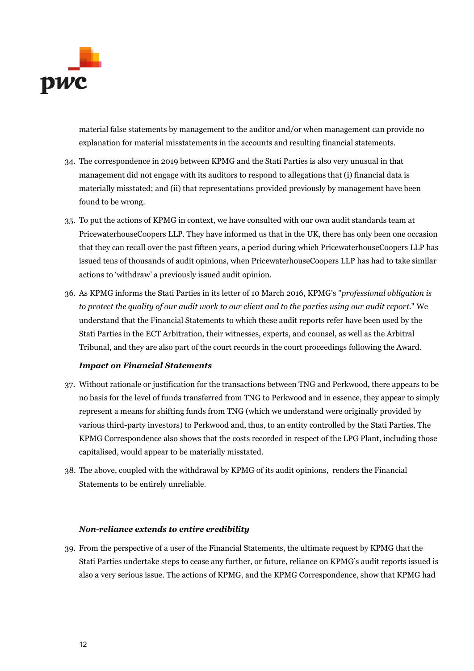

material false statements by management to the auditor and/or when management can provide no explanation for material misstatements in the accounts and resulting financial statements.

- 34. The correspondence in 2019 between KPMG and the Stati Parties is also very unusual in that management did not engage with its auditors to respond to allegations that (i) financial data is materially misstated; and (ii) that representations provided previously by management have been found to be wrong.
- 35. To put the actions of KPMG in context, we have consulted with our own audit standards team at PricewaterhouseCoopers LLP. They have informed us that in the UK, there has only been one occasion that they can recall over the past fifteen years, a period during which PricewaterhouseCoopers LLP has issued tens of thousands of audit opinions, when PricewaterhouseCoopers LLP has had to take similar actions to 'withdraw' a previously issued audit opinion.
- 36. As KPMG informs the Stati Parties in its letter of 10 March 2016, KPMG's "professional obligation is to protect the quality of our audit work to our client and to the parties using our audit report." We understand that the Financial Statements to which these audit reports refer have been used by the Stati Parties in the ECT Arbitration, their witnesses, experts, and counsel, as well as the Arbitral Tribunal, and they are also part of the court records in the court proceedings following the Award.

### Impact on Financial Statements

- 37. Without rationale or justification for the transactions between TNG and Perkwood, there appears to be no basis for the level of funds transferred from TNG to Perkwood and in essence, they appear to simply represent a means for shifting funds from TNG (which we understand were originally provided by various third-party investors) to Perkwood and, thus, to an entity controlled by the Stati Parties. The KPMG Correspondence also shows that the costs recorded in respect of the LPG Plant, including those capitalised, would appear to be materially misstated.
- 38. The above, coupled with the withdrawal by KPMG of its audit opinions, renders the Financial Statements to be entirely unreliable.

#### Non-reliance extends to entire credibility

39. From the perspective of a user of the Financial Statements, the ultimate request by KPMG that the Stati Parties undertake steps to cease any further, or future, reliance on KPMG's audit reports issued is also a very serious issue. The actions of KPMG, and the KPMG Correspondence, show that KPMG had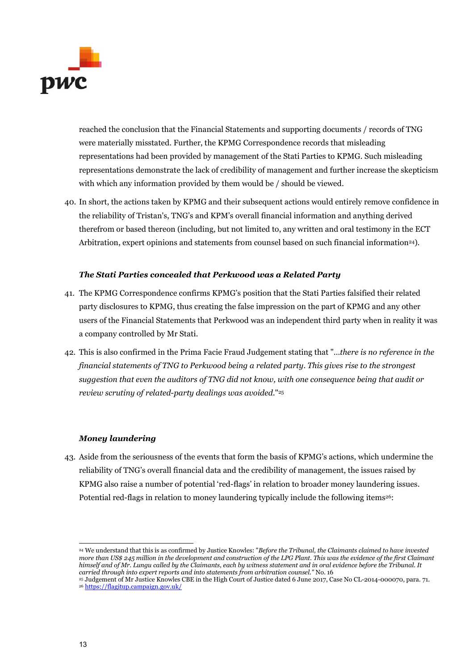

reached the conclusion that the Financial Statements and supporting documents / records of TNG were materially misstated. Further, the KPMG Correspondence records that misleading representations had been provided by management of the Stati Parties to KPMG. Such misleading representations demonstrate the lack of credibility of management and further increase the skepticism with which any information provided by them would be / should be viewed.

40. In short, the actions taken by KPMG and their subsequent actions would entirely remove confidence in the reliability of Tristan's, TNG's and KPM's overall financial information and anything derived therefrom or based thereon (including, but not limited to, any written and oral testimony in the ECT Arbitration, expert opinions and statements from counsel based on such financial information<sup>24</sup>).

# The Stati Parties concealed that Perkwood was a Related Party

- 41. The KPMG Correspondence confirms KPMG's position that the Stati Parties falsified their related party disclosures to KPMG, thus creating the false impression on the part of KPMG and any other users of the Financial Statements that Perkwood was an independent third party when in reality it was a company controlled by Mr Stati.
- 42. This is also confirmed in the Prima Facie Fraud Judgement stating that "…there is no reference in the financial statements of TNG to Perkwood being a related party. This gives rise to the strongest suggestion that even the auditors of TNG did not know, with one consequence being that audit or review scrutiny of related-party dealings was avoided." 25

### Money laundering

43. Aside from the seriousness of the events that form the basis of KPMG's actions, which undermine the reliability of TNG's overall financial data and the credibility of management, the issues raised by KPMG also raise a number of potential 'red-flags' in relation to broader money laundering issues. Potential red-flags in relation to money laundering typically include the following items<sup>26</sup>:

 $\overline{a}$ <sup>24</sup> We understand that this is as confirmed by Justice Knowles: "Before the Tribunal, the Claimants claimed to have invested more than US\$ 245 million in the development and construction of the LPG Plant. This was the evidence of the first Claimant himself and of Mr. Lungu called by the Claimants, each by witness statement and in oral evidence before the Tribunal. It carried through into expert reports and into statements from arbitration counsel." No. 16

<sup>25</sup> Judgement of Mr Justice Knowles CBE in the High Court of Justice dated 6 June 2017, Case No CL-2014-000070, para. 71. <sup>26</sup> https://flagitup.campaign.gov.uk/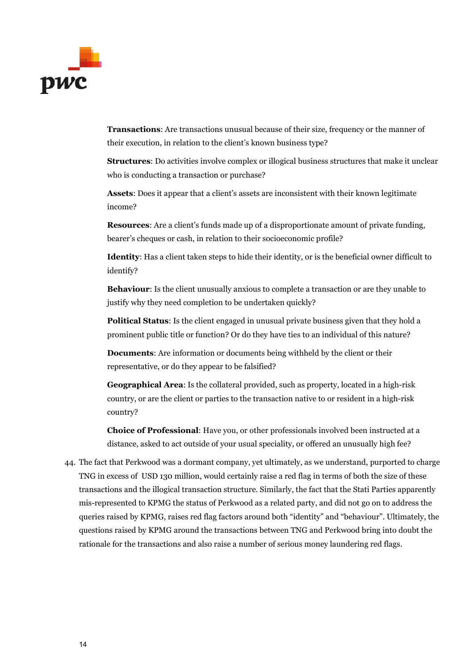

Transactions: Are transactions unusual because of their size, frequency or the manner of their execution, in relation to the client's known business type?

Structures: Do activities involve complex or illogical business structures that make it unclear who is conducting a transaction or purchase?

Assets: Does it appear that a client's assets are inconsistent with their known legitimate income?

Resources: Are a client's funds made up of a disproportionate amount of private funding, bearer's cheques or cash, in relation to their socioeconomic profile?

Identity: Has a client taken steps to hide their identity, or is the beneficial owner difficult to identify?

Behaviour: Is the client unusually anxious to complete a transaction or are they unable to justify why they need completion to be undertaken quickly?

Political Status: Is the client engaged in unusual private business given that they hold a prominent public title or function? Or do they have ties to an individual of this nature?

Documents: Are information or documents being withheld by the client or their representative, or do they appear to be falsified?

Geographical Area: Is the collateral provided, such as property, located in a high-risk country, or are the client or parties to the transaction native to or resident in a high-risk country?

Choice of Professional: Have you, or other professionals involved been instructed at a distance, asked to act outside of your usual speciality, or offered an unusually high fee?

44. The fact that Perkwood was a dormant company, yet ultimately, as we understand, purported to charge TNG in excess of USD 130 million, would certainly raise a red flag in terms of both the size of these transactions and the illogical transaction structure. Similarly, the fact that the Stati Parties apparently mis-represented to KPMG the status of Perkwood as a related party, and did not go on to address the queries raised by KPMG, raises red flag factors around both "identity" and "behaviour". Ultimately, the questions raised by KPMG around the transactions between TNG and Perkwood bring into doubt the rationale for the transactions and also raise a number of serious money laundering red flags.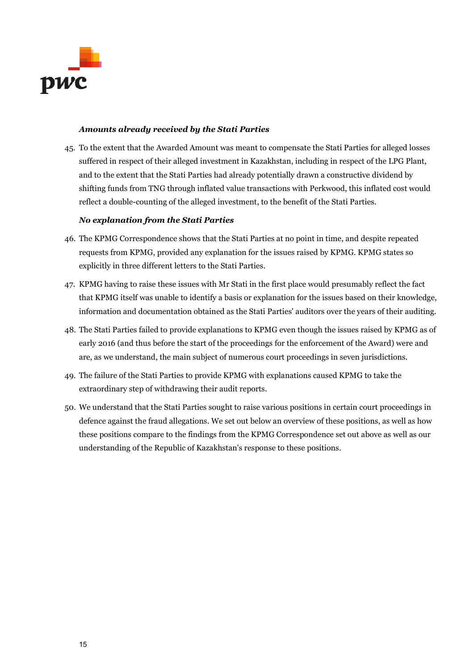

### Amounts already received by the Stati Parties

45. To the extent that the Awarded Amount was meant to compensate the Stati Parties for alleged losses suffered in respect of their alleged investment in Kazakhstan, including in respect of the LPG Plant, and to the extent that the Stati Parties had already potentially drawn a constructive dividend by shifting funds from TNG through inflated value transactions with Perkwood, this inflated cost would reflect a double-counting of the alleged investment, to the benefit of the Stati Parties.

# No explanation from the Stati Parties

- 46. The KPMG Correspondence shows that the Stati Parties at no point in time, and despite repeated requests from KPMG, provided any explanation for the issues raised by KPMG. KPMG states so explicitly in three different letters to the Stati Parties.
- 47. KPMG having to raise these issues with Mr Stati in the first place would presumably reflect the fact that KPMG itself was unable to identify a basis or explanation for the issues based on their knowledge, information and documentation obtained as the Stati Parties' auditors over the years of their auditing.
- 48. The Stati Parties failed to provide explanations to KPMG even though the issues raised by KPMG as of early 2016 (and thus before the start of the proceedings for the enforcement of the Award) were and are, as we understand, the main subject of numerous court proceedings in seven jurisdictions.
- 49. The failure of the Stati Parties to provide KPMG with explanations caused KPMG to take the extraordinary step of withdrawing their audit reports.
- 50. We understand that the Stati Parties sought to raise various positions in certain court proceedings in defence against the fraud allegations. We set out below an overview of these positions, as well as how these positions compare to the findings from the KPMG Correspondence set out above as well as our understanding of the Republic of Kazakhstan's response to these positions.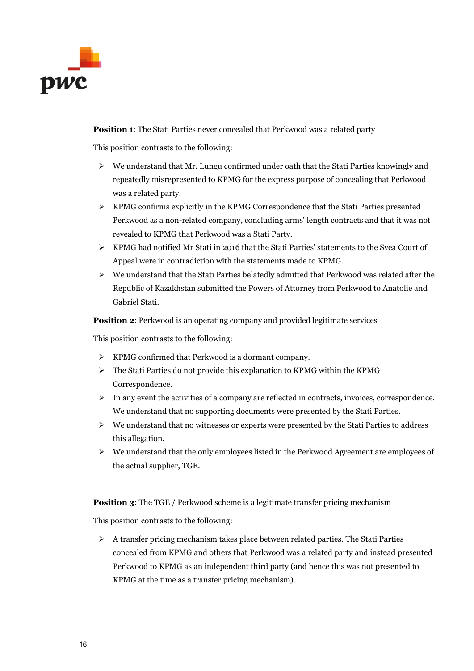

**Position 1:** The Stati Parties never concealed that Perkwood was a related party

This position contrasts to the following:

- $\triangleright$  We understand that Mr. Lungu confirmed under oath that the Stati Parties knowingly and repeatedly misrepresented to KPMG for the express purpose of concealing that Perkwood was a related party.
- $\triangleright$  KPMG confirms explicitly in the KPMG Correspondence that the Stati Parties presented Perkwood as a non-related company, concluding arms' length contracts and that it was not revealed to KPMG that Perkwood was a Stati Party.
- $\triangleright$  KPMG had notified Mr Stati in 2016 that the Stati Parties' statements to the Svea Court of Appeal were in contradiction with the statements made to KPMG.
- $\triangleright$  We understand that the Stati Parties belatedly admitted that Perkwood was related after the Republic of Kazakhstan submitted the Powers of Attorney from Perkwood to Anatolie and Gabriel Stati.

Position 2: Perkwood is an operating company and provided legitimate services

This position contrasts to the following:

- KPMG confirmed that Perkwood is a dormant company.
- The Stati Parties do not provide this explanation to KPMG within the KPMG Correspondence.
- $\triangleright$  In any event the activities of a company are reflected in contracts, invoices, correspondence. We understand that no supporting documents were presented by the Stati Parties.
- $\triangleright$  We understand that no witnesses or experts were presented by the Stati Parties to address this allegation.
- $\triangleright$  We understand that the only employees listed in the Perkwood Agreement are employees of the actual supplier, TGE.

**Position 3:** The TGE / Perkwood scheme is a legitimate transfer pricing mechanism

This position contrasts to the following:

 $\triangleright$  A transfer pricing mechanism takes place between related parties. The Stati Parties concealed from KPMG and others that Perkwood was a related party and instead presented Perkwood to KPMG as an independent third party (and hence this was not presented to KPMG at the time as a transfer pricing mechanism).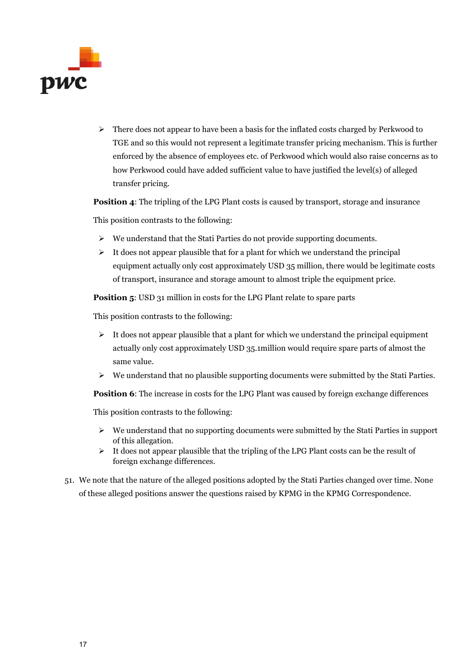

 $\triangleright$  There does not appear to have been a basis for the inflated costs charged by Perkwood to TGE and so this would not represent a legitimate transfer pricing mechanism. This is further enforced by the absence of employees etc. of Perkwood which would also raise concerns as to how Perkwood could have added sufficient value to have justified the level(s) of alleged transfer pricing.

**Position 4:** The tripling of the LPG Plant costs is caused by transport, storage and insurance

This position contrasts to the following:

- $\triangleright$  We understand that the Stati Parties do not provide supporting documents.
- $\triangleright$  It does not appear plausible that for a plant for which we understand the principal equipment actually only cost approximately USD 35 million, there would be legitimate costs of transport, insurance and storage amount to almost triple the equipment price.

**Position 5:** USD 31 million in costs for the LPG Plant relate to spare parts

This position contrasts to the following:

- $\triangleright$  It does not appear plausible that a plant for which we understand the principal equipment actually only cost approximately USD 35.1million would require spare parts of almost the same value.
- $\triangleright$  We understand that no plausible supporting documents were submitted by the Stati Parties.

**Position 6:** The increase in costs for the LPG Plant was caused by foreign exchange differences

This position contrasts to the following:

- $\triangleright$  We understand that no supporting documents were submitted by the Stati Parties in support of this allegation.
- $\triangleright$  It does not appear plausible that the tripling of the LPG Plant costs can be the result of foreign exchange differences.
- 51. We note that the nature of the alleged positions adopted by the Stati Parties changed over time. None of these alleged positions answer the questions raised by KPMG in the KPMG Correspondence.